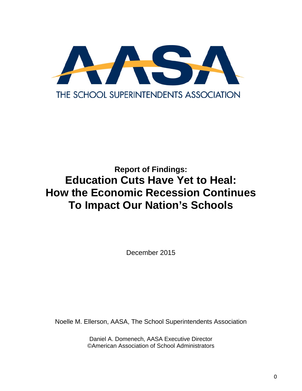

# **Report of Findings: Education Cuts Have Yet to Heal: How the Economic Recession Continues To Impact Our Nation's Schools**

December 2015

Noelle M. Ellerson, AASA, The School Superintendents Association

Daniel A. Domenech, AASA Executive Director ©American Association of School Administrators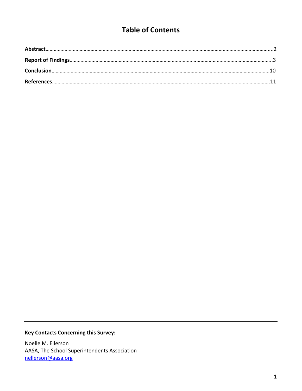# **Table of Contents**

## **Key Contacts Concerning this Survey:**

Noelle M. Ellerson AASA, The School Superintendents Association nellerson@aasa.org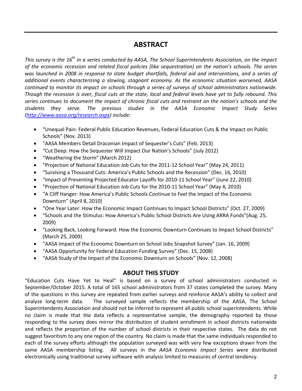## **ABSTRACT**

This survey is the  $16^{th}$  in a series conducted by AASA, The School Superintendents Association, on the impact *of the economic recession and related fiscal policies (like sequestration) on the nation's schools. The series* was launched in 2008 in response to state budget shortfalls, federal aid and interventions, and a series of *additional events characterizing a slowing, stagnant economy. As the economic situation worsened, AASA continued to monitor its impact on schools through a series of surveys of school administrators nationwide.* Though the recession is over, fiscal cuts at the state, local and federal levels have yet to fully rebound. This series continues to document the impact of chronic fiscal cuts and restraint on the nation's schools and the *students they serve. The previous studies in the AASA Economic Impact Study Series (http://www.aasa.org/research.aspx) include:*

- "Unequal Pain: Federal Public Education Revenues, Federal Education Cuts & the Impact on Public Schools" (Nov. 2013)
- "AASA Members Detail Draconian Impact of Sequester's Cuts" (Feb. 2013)
- "Cut Deep: How the Sequester Will Impact Our Nation's Schools" (July 2012)
- "Weathering the Storm" (March 2012)
- "Projection of National Education Job Cuts for the 2011‐12 School Year" (May 24, 2011)
- "Surviving a Thousand Cuts: America's Public Schools and the Recession" (Dec. 16, 2010)
- "Impact of Preventing Projected Educator Layoffs for 2010‐11 School Year" (June 22, 2010)
- "Projection of National Education Job Cuts for the 2010‐11 School Year" (May 4, 2010)
- "A Cliff Hanger: How America's Public Schools Continue to Feel the Impact of the Economic Downturn" (April 8, 2010)
- "One Year Later: How the Economic Impact Continues to Impact School Districts" (Oct. 27, 2009)
- "Schools and the Stimulus: How America's Public School Districts Are Using ARRA Funds"(Aug. 25, 2009)
- "Looking Back, Looking Forward: How the Economic Downturn Continues to Impact School Districts" (March 25, 2009)
- "AASA Impact of the Economic Downturn on School Jobs Snapshot Survey" (Jan. 16, 2009)
- "AASA Opportunity for Federal Education Funding Survey" (Dec. 15, 2008)
- "AASA Study of the Impact of the Economic Downturn on Schools" (Nov. 12, 2008)

#### **ABOUT THIS STUDY**

"Education Cuts Have Yet to Heal" is based on a survey of school administrators conducted in September/October 2015. A total of 165 school administrators from 37 states completed the survey. Many of the questions in this survey are repeated from earlier surveys and reinforce AASA's ability to collect and analyze long-term data. The surveyed sample reflects the membership of the AASA, The School Superintendents Association and should not be inferred to represent all public school superintendents. While no claim is made that the data reflects a representative sample, the demography reported by those responding to the survey does mirror the distribution of student enrollment in school districts nationwide and reflects the proportion of the number of school districts in their respective states. The data do not suggest favoritism to any one region of the country. No claim is made that the same individuals responded to each of the survey efforts although the population surveyed was with very few exceptions drawn from the same AASA membership listing. All surveys in the *AASA Economic Impact Series* were distributed electronically using traditional survey software with analysis limited to measures of central tendency.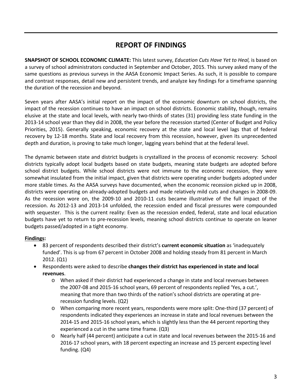## **REPORT OF FINDINGS**

**SNAPSHOT OF SCHOOL ECONOMIC CLIMATE:** This latest survey, *Education Cuts Have Yet to Heal,* is based on a survey of school administrators conducted in September and October, 2015. This survey asked many of the same questions as previous surveys in the AASA Economic Impact Series. As such, it is possible to compare and contrast responses, detail new and persistent trends, and analyze key findings for a timeframe spanning the duration of the recession and beyond.

Seven years after AASA's initial report on the impact of the economic downturn on school districts, the impact of the recession continues to have an impact on school districts. Economic stability, though, remains elusive at the state and local levels, with nearly two‐thirds of states (31) providing less state funding in the 2013‐14 school year than they did in 2008, the year before the recession started (Center of Budget and Policy Priorities, 2015). Generally speaking, economic recovery at the state and local level lags that of federal recovery by 12‐18 months. State and local recovery from this recession, however, given its unprecedented depth and duration, is proving to take much longer, lagging years behind that at the federal level.

The dynamic between state and district budgets is crystallized in the process of economic recovery: School districts typically adopt local budgets based on state budgets, meaning state budgets are adopted before school district budgets. While school districts were not immune to the economic recession, they were somewhat insulated from the initial impact, given that districts were operating under budgets adopted under more stable times. As the AASA surveys have documented, when the economic recession picked up in 2008, districts were operating on already‐adopted budgets and made relatively mild cuts and changes in 2008‐09. As the recession wore on, the 2009‐10 and 2010‐11 cuts became illustrative of the full impact of the recession. As 2012‐13 and 2013‐14 unfolded, the recession ended and fiscal pressures were compounded with sequester. This is the current reality: Even as the recession ended, federal, state and local education budgets have yet to return to pre‐recession levels, meaning school districts continue to operate on leaner budgets passed/adopted in a tight economy.

#### **Findings:**

- 83 percent of respondents described their district's **current economic situation** as 'inadequately funded'. This is up from 67 percent in October 2008 and holding steady from 81 percent in March 2012. (Q1)
- Respondents were asked to describe **changes their district has experienced in state and local revenues**.
	- o When asked if their district had experienced a change in state and local revenues between the 2007‐08 and 2015‐16 school years, 69 percent of respondents replied 'Yes, a cut.', meaning that more than two thirds of the nation's school districts are operating at pre‐ recession funding levels. (Q2)
	- o When comparing more recent years, respondents were more split: One‐third (37 percent) of respondents indicated they experiences an increase in state and local revenues between the 2014‐15 and 2015‐16 school years, which is slightly less than the 44 percent reporting they experienced a cut in the same time frame. (Q3)
	- o Nearly half (44 percent) anticipate a cut in state and local revenues between the 2015‐16 and 2016‐17 school years, with 18 percent expecting an increase and 15 percent expecting level funding. (Q4)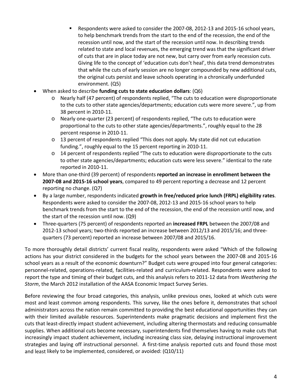- Respondents were asked to consider the 2007‐08, 2012‐13 and 2015‐16 school years, to help benchmark trends from the start to the end of the recession, the end of the recession until now, and the start of the recession until now. In describing trends related to state and local revenues, the emerging trend was that the significant driver of cuts that are in place today are not new, but carry over from early recession cuts. Giving life to the concept of 'education cuts don't heal', this data trend demonstrates that while the cuts of early session are no longer compounded by new additional cuts, the original cuts persist and leave schools operating in a chronically underfunded environment. (Q5)
- When asked to describe **funding cuts to state education dollars**: (Q6)
	- o Nearly half (47 percent) of respondents replied, "The cuts to education were disproportionate to the cuts to other state agencies/departments; education cuts were more severe.", up from 38 percent in 2010‐11.
	- o Nearly one‐quarter (23 percent) of respondents replied, "The cuts to education were proportional to the cuts to other state agencies/departments.", roughly equal to the 28 percent response in 2010‐11.
	- o 13 percent of respondents replied "This does not apply. My state did not cut education funding.", roughly equal to the 15 percent reporting in 2010‐11.
	- $\circ$  14 percent of respondents replied "The cuts to education were disproportionate to the cuts to other state agencies/departments; education cuts were less severe." identical to the rate reported in 2010‐11.
- More than one‐third (39 percent) of respondents **reported an increase in enrollment between the 2007‐08 and 2015‐16 school years**, compared to 49 percent reporting a decrease and 12 percent reporting no change. (Q7)
- By a large number, respondents indicated **growth in free/reduced price lunch (FRPL) eligibility rates**. Respondents were asked to consider the 2007‐08, 2012‐13 and 2015‐16 school years to help benchmark trends from the start to the end of the recession, the end of the recession until now, and the start of the recession until now. (Q9)
- Three‐quarters (75 percent) of respondents reported an **increased FRPL** between the 2007/08 and 2012-13 school years; two-thirds reported an increase between 2012/13 and 2015/16; and threequarters (73 percent) reported an increase between 2007/08 and 2015/16.

To more thoroughly detail districts' current fiscal reality, respondents were asked "Which of the following actions has your district considered in the budgets for the school years between the 2007‐08 and 2015‐16 school years as a result of the economic downturn?" Budget cuts were grouped into four general categories: personnel‐related, operations‐related, facilities‐related and curriculum‐related. Respondents were asked to report the type and timing of their budget cuts, and this analysis refers to 2011‐12 data from *Weathering the Storm*, the March 2012 installation of the AASA Economic Impact Survey Series.

Before reviewing the four broad categories, this analysis, unlike previous ones, looked at which cuts were most and least common among respondents. This survey, like the ones before it, demonstrates that school administrators across the nation remain committed to providing the best educational opportunities they can with their limited available resources. Superintendents make pragmatic decisions and implement first the cuts that least‐directly impact student achievement, including altering thermostats and reducing consumable supplies. When additional cuts become necessary, superintendents find themselves having to make cuts that increasingly impact student achievement, including increasing class size, delaying instructional improvement strategies and laying off instructional personnel. A first-time analysis reported cuts and found those most and least likely to be implemented, considered, or avoided: (Q10/11)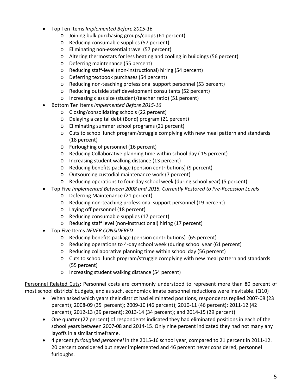- Top Ten Items *Implemented Before 2015‐16*
	- o Joining bulk purchasing groups/coops (61 percent)
	- o Reducing consumable supplies (57 percent)
	- o Eliminating non‐essential travel (57 percent)
	- o Altering thermostats for less heating and cooling in buildings (56 percent)
	- o Deferring maintenance (55 percent)
	- o Reducing staff‐level (non‐instructional) hiring (54 percent)
	- o Deferring textbook purchases (54 percent)
	- o Reducing non‐teaching professional support personnel (53 percent)
	- o Reducing outside staff development consultants (52 percent)
	- o Increasing class size (student/teacher ratio) (51 percent)
- Bottom Ten Items *Implemented Before 2015‐16*
	- o Closing/consolidating schools (22 percent)
	- o Delaying a capital debt (Bond) program (21 percent)
	- o Eliminating summer school programs (21 percent)
	- o Cuts to school lunch program/struggle complying with new meal pattern and standards (18 percent)
	- o Furloughing of personnel (16 percent)
	- o Reducing Collaborative planning time within school day ( 15 percent)
	- o Increasing student walking distance (13 percent)
	- o Reducing benefits package (pension contributions) (9 percent)
	- o Outsourcing custodial maintenance work (7 percent)
	- o Reducing operations to four‐day school week (during school year) (5 percent)
- Top Five *Implemented Between 2008 and 2015, Currently Restored to Pre‐Recession Levels*
	- o Deferring Maintenance (21 percent)
	- o Reducing non‐teaching professional support personnel (19 percent)
	- o Laying off personnel (18 percent)
	- o Reducing consumable supplies (17 percent)
	- o Reducing staff level (non‐instructional) hiring (17 percent)
- Top Five Items *NEVER CONSIDERED*
	- o Reducing benefits package (pension contributions) (65 percent)
	- o Reducing operations to 4‐day school week (during school year (61 percent)
	- o Reducing collaborative planning time within school day (56 percent)
	- $\circ$  Cuts to school lunch program/struggle complying with new meal pattern and standards (55 percent)
	- o Increasing student walking distance (54 percent)

Personnel Related Cuts**:** Personnel costs are commonly understood to represent more than 80 percent of most school districts' budgets, and as such, economic climate personnel reductions were inevitable. (Q10)

- When asked which years their district had eliminated positions, respondents replied 2007‐08 (23 percent); 2008‐09 (35 percent); 2009‐10 (46 percent); 2010‐11 (46 percent); 2011‐12 (42 percent); 2012‐13 (39 percent); 2013‐14 (34 percent); and 2014‐15 (29 percent)
- One quarter (22 percent) of respondents indicated they had eliminated positions in each of the school years between 2007‐08 and 2014‐15. Only nine percent indicated they had not many any layoffs in a similar timeframe.
- 4 percent *furloughed personnel* in the 2015‐16 school year, compared to 21 percent in 2011‐12. 20 percent considered but never implemented and 46 percent never considered, personnel furloughs.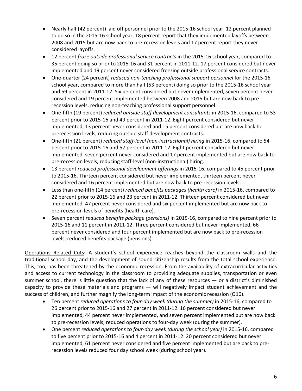- Nearly half (42 percent) laid off personnel prior to the 2015‐16 school year, 12 percent planned to do so in the 2015‐16 school year, 18 percent report that they implemented layoffs between 2008 and 2015 but are now back to pre‐recession levels and 17 percent report they never considered layoffs.
- 12 percent *froze outside professional service contracts* in the 2015‐16 school year, compared to 35 percent doing so prior to 2015‐16 and 31 percent in 2011‐12. 17 percent considered but never implemented and 19 percent never considered freezing outside professional service contracts.
- One‐quarter (24 percent) *reduced non‐teaching professional support personnel* for the 2015‐16 school year, compared to more than half (53 percent) doing so prior to the 2015‐16 school year and 59 percent in 2011‐12. Six percent considered but never implemented, seven percent never considered and 19 percent implemented between 2008 and 2015 but are now back to pre‐ recession levels, reducing non-teaching professional support personnel.
- One‐fifth (19 percent) *reduced outside staff development consultants* in 2015‐16, compared to 53 percent prior to 2015‐16 and 49 percent in 2011‐12. Eight percent considered but never implemented, 13 percent never considered and 15 percent considered but are now back to prerecession levels, reducing outside staff development contracts.
- One‐fifth (21 percent) *reduced staff‐level (non‐instructional) hiring* in 2015‐16, compared to 54 percent prior to 2015‐16 and 57 percent in 2011‐12. Eight percent considered but never implemented, seven percent never considered and 17 percent implemented but are now back to pre‐recession levels, reducing staff‐level (non‐instructional) hiring.
- 13 percent *reduced professional development offerings* in 2015‐16, compared to 45 percent prior to 2015‐16. Thirteen percent considered but never implemented, thirteen percent never considered and 16 percent implemented but are now back to pre-recession levels.
- Less than one‐fifth (14 percent) *reduced benefits packages (health care)* in 2015‐16, compared to 22 percent prior to 2015‐16 and 23 percent in 2011‐12. Thirteen percent considered but never implemented, 47 percent never considered and six percent implemented but are now back to pre‐recession levels of benefits (health care).
- Seven percent *reduced benefits package (pensions)* in 2015‐16, compared to nine percent prior to 2015‐16 and 11 percent in 2011‐12. Three percent considered but never implemented, 66 percent never considered and four percent implemented but are now back to pre‐recession levels, reduced benefits package (pensions).

Operations Related Cuts**:** A student's school experience reaches beyond the classroom walls and the traditional school day, and the development of sound citizenship results from the total school experience. This, too, has been threatened by the economic recession. From the availability of extracurricular activities and access to current technology in the classroom to providing adequate supplies, transportation or even summer school, there is little question that the lack of any of these resources — or a district's diminished capacity to provide these materials and programs — will negatively impact student achievement and the success of children, and further magnify the long-term impact of the economic recession (Q10).

- Ten percent *reduced operations to four‐day week (during the summer)* in 2015‐16, compared to 26 percent prior to 2015‐16 and 27 percent in 2011‐12. 16 percent considered but never implemented, 44 percent never implemented, and seven percent implemented but are now back to pre‐recession levels, reduced operations to four‐day week (during the summer).
- One percent *reduced operations to four‐day week (during the school year)* in 2015‐16, compared to five percent prior to 2015‐16 and 4 percent in 2011‐12. 20 percent considered but never implemented, 61 percent never considered and five percent implemented but are back to pre‐ recession levels reduced four day school week (during school year).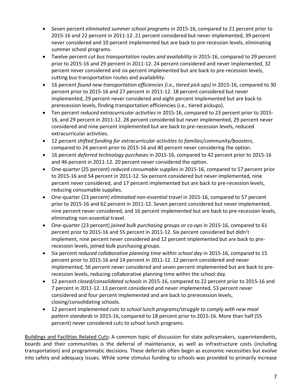- Seven percent *eliminated summer school programs* in 2015‐16, compared to 21 percent prior to 2015‐16 and 22 percent in 2011‐12. 21 percent considered but never implemented, 39 percent never considered and 10 percent implemented but are back to pre‐recession levels, eliminating summer school programs.
- Twelve percent *cut bus transportation routes and availability* in 2015‐16, compared to 29 percent prior to 2015‐16 and 29 percent in 2011‐12. 24 percent considered and never implemented, 32 percent never considered and six percent implemented but are back to pre-recession levels, cutting bus transportation routes and availability.
- 16 percent *found new transportation efficiencies (i.e., tiered pick ups)* in 2015‐16, compared to 30 percent prior to 2015‐16 and 27 percent in 2011‐12. 18 percent considered but never implemented, 29 percent never considered and eight percent implemented but are back to prerecession levels, finding transportation efficiencies (i.e., tiered pickups).
- Ten percent *reduced extracurricular activities* in 2015‐16, compared to 23 percent prior to 2015‐ 16, and 29 percent in 2011‐12. 28 percent considered but never implemented, 29 percent never considered and nine percent implemented but are back to pre‐recession levels, reduced extracurricular activities.
- 12 percent *shifted funding for extracurricular activities to families/community/boosters*, compared to 24 percent prior to 2015‐16 and 40 percent never considering the option.
- 16 percent *deferred technology purchases* in 2015‐16, compared to 42 percent prior to 2015‐16 and 46 percent in 2011‐12. 20 percent never considered the option.
- One‐quarter (25 percent) *reduced consumable supplies* in 2015‐16, compared to 57 percent prior to 2015‐16 and 54 percent in 2011‐12. Six percent considered but never implemented, nine percent never considered, and 17 percent implemented but are back to pre-recession levels, reducing consumable supplies.
- One‐quarter (23 percent) *eliminated non‐essential travel* in 2015‐16, compared to 57 percent prior to 2015‐16 and 62 percent in 2011‐12. Seven percent considered but never implemented, nine percent never considered, and 16 percent implemented but are back to pre-recession levels, eliminating non‐essential travel.
- One‐quarter (23 percent) *joined bulk purchasing groups or co‐ops* in 2015‐16, compared to 61 percent prior to 2015‐16 and 55 percent in 2011‐12. Six percent considered but didn't implement, nine percent never considered and 12 percent implemented but are back to prerecession levels, joined bulk purchasing groups.
- Six percent *reduced collaborative planning time within school day* in 2015‐16, compared to 15 percent prior to 2015‐16 and 14 percent in 2011‐12. 12 percent considered and never implemented, 56 percent never considered and seven percent implemented but are back to pre‐ recession levels, reducing collaborative planning time within the school day.
- 12 percent *closed/consolidated schools* in 2015‐16, compared to 22 percent prior to 2015‐16 and 7 percent in 2011‐12. 13 percent considered and never implemented, 53 percent never considered and four percent implemented and are back to prerecession levels, closing/consolidating schools.
- 12 percent implemented *cuts to school lunch programs/struggle to comply with new meal pattern standards* in 2015‐16, compared to 18 percent prior to 2015‐16. More than half (55 percent) never considered cuts to school lunch programs.

Buildings and Facilities Related Cuts**:** A common topic of discussion for state policymakers, superintendents, boards and their communities is the deferral of maintenance, as well as infrastructure costs (including transportation) and programmatic decisions. These deferrals often begin as economic necessities but evolve into safety and adequacy issues. While some stimulus funding to schools was provided to primarily increase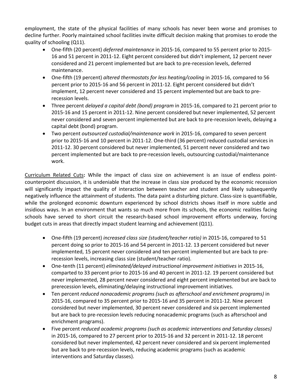employment, the state of the physical facilities of many schools has never been worse and promises to decline further. Poorly maintained school facilities invite difficult decision making that promises to erode the quality of schooling (Q11).

- One‐fifth (20 percent) *deferred maintenance* in 2015‐16, compared to 55 percent prior to 2015‐ 16 and 51 percent in 2011‐12. Eight percent considered but didn't implement, 12 percent never considered and 21 percent implemented but are back to pre‐recession levels, deferred maintenance.
- One‐fifth (19 percent) *altered thermostats for less heating/cooling* in 2015‐16, compared to 56 percent prior to 2015‐16 and 56 percent in 2011‐12. Eight percent considered but didn't implement, 12 percent never considered and 15 percent implemented but are back to pre‐ recession levels.
- Three percent *delayed a capital debt (bond) program* in 2015‐16, compared to 21 percent prior to 2015‐16 and 15 percent in 2011‐12. Nine percent considered but never implemented, 52 percent never considered and seven percent implemented but are back to pre‐recession levels, delaying a capital debt (bond) program.
- Two percent *outsourced custodial/maintenance work* in 2015‐16, compared to seven percent prior to 2015‐16 and 10 percent in 2011‐12. One‐third (36 percent) reduced custodial services in 2011‐12. 30 percent considered but never implemented, 51 percent never considered and two percent implemented but are back to pre‐recession levels, outsourcing custodial/maintenance work.

Curriculum Related Cuts**:** While the impact of class size on achievement is an issue of endless point‐ counterpoint discussion, it is undeniable that the increase in class size produced by the economic recession will significantly impact the quality of interaction between teacher and student and likely subsequently negatively influence the attainment of students. The data paint a disturbing picture. Class‐size is quantifiable, while the prolonged economic downturn experienced by school districts shows itself in more subtle and insidious ways. In an environment that wants so much more from its schools, the economic realities facing schools have served to short circuit the research-based school improvement efforts underway, forcing budget cuts in areas that directly impact student learning and achievement (Q11).

- One‐fifth (19 percent) *increased class size (student/teacher ratio)* in 2015‐16, compared to 51 percent doing so prior to 2015‐16 and 54 percent in 2011‐12. 13 percent considered but never implemented, 15 percent never considered and ten percent implemented but are back to pre‐ recession levels, increasing class size (student/teacher ratio).
- One‐tenth (11 percent) *eliminated/delayed instructional improvement initiatives* in 2015‐16, comparted to 33 percent prior to 2015‐16 and 40 percent in 2011‐12. 19 percent considered but never implemented, 28 percent never considered and eight percent implemented but are back to prerecession levels, eliminating/delaying instructional improvement initiatives.
- Ten percent *reduced nonacademic programs (such as afterschool and enrichment programs)* in 2015‐16, compared to 35 percent prior to 2015‐16 and 35 percent in 2011‐12. Nine percent considered but never implemented, 30 percent never considered and six percent implemented but are back to pre‐recession levels reducing nonacademic programs (such as afterschool and enrichment programs).
- Five percent *reduced academic programs (such as academic interventions and Saturday classes)* in 2015‐16, compared to 27 percent prior to 2015‐16 and 32 percent in 2011‐12. 18 percent considered but never implemented, 42 percent never considered and six percent implemented but are back to pre‐recession levels, reducing academic programs (such as academic interventions and Saturday classes).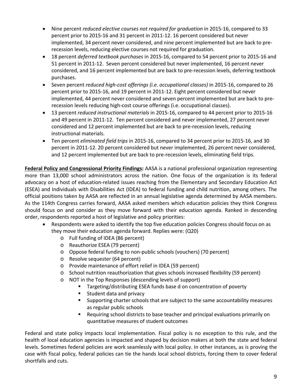- Nine percent *reduced elective courses not required for graduation* in 2015‐16, compared to 33 percent prior to 2015‐16 and 31 percent in 2011‐12. 16 percent considered but never implemented, 34 percent never considered, and nine percent implemented but are back to pre‐ recession levels, reducing elective courses not required for graduation.
- 18 percent *deferred textbook purchases* in 2015‐16, compared to 54 percent prior to 2015‐16 and 51 percent in 2011‐12. Seven percent considered but never implemented, 16 percent never considered, and 16 percent implemented but are back to pre‐recession levels, deferring textbook purchases.
- Seven percent *reduced high‐cost offerings (i.e. occupational classes)* in 2015‐16, compared to 26 percent prior to 2015‐16, and 19 percent in 2011‐12. Eight percent considered but never implemented, 44 percent never considered and seven percent implemented but are back to pre‐ recession levels reducing high‐cost course offerings (i.e. occupational classes).
- 13 percent *reduced instructional materials* in 2015‐16, compared to 44 percent prior to 2015‐16 and 49 percent in 2011‐12. Ten percent considered and never implemented, 27 percent never considered and 12 percent implemented but are back to pre‐recession levels, reducing instructional materials.
- Ten percent *eliminated field trips* in 2015‐16, compared to 34 percent prior to 2015‐16, and 30 percent in 2011‐12. 20 percent considered but never implemented, 26 percent never considered, and 12 percent implemented but are back to pre‐recession levels, eliminating field trips.

**Federal Policy and Congressional Priority Findings:** AASA is a national professional organization representing more than 13,000 school administrators across the nation. One focus of the organization is its federal advocacy on a host of education‐related issues reaching from the Elementary and Secondary Education Act (ESEA) and Individuals with Disabilities Act (IDEA) to federal funding and child nutrition, among others. The official positions taken by AASA are reflected in an annual legislative agenda determined by AASA members. As the 114th Congress carries forward, AASA asked members which education policies they think Congress should focus on and consider as they move forward with their education agenda. Ranked in descending order, respondents reported a host of legislative and policy priorities:

- Respondents were asked to identify the top five education policies Congress should focus on as they move their education agenda forward. Replies were: (Q20)
	- o Full funding of IDEA (86 percent)
	- o Reauthorize ESEA (79 percent)
	- o Oppose federal funding to non‐public schools (vouchers) (70 percent)
	- o Resolve sequester (64 percent)
	- o Provide maintenance of effort relief in IDEA (59 percent)
	- o School nutrition reauthorization that gives schools increased flexibility (59 percent)
	- o NOT in the Top Responses (descending levels of support)
		- **Targeting/distributing ESEA funds base d on concentration of poverty**
		- **Student data and privacy**
		- Supporting charter schools that are subject to the same accountability measures as regular public schools
		- **Requiring school districts to base teacher and principal evaluations primarily on** quantitative measures of student outcomes

Federal and state policy impacts local implementation. Fiscal policy is no exception to this rule, and the health of local education agencies is impacted and shaped by decision makers at both the state and federal levels. Sometimes federal policies are work seamlessly with local policy. In other instances, as is proving the case with fiscal policy, federal policies can tie the hands local school districts, forcing them to cover federal shortfalls and cuts.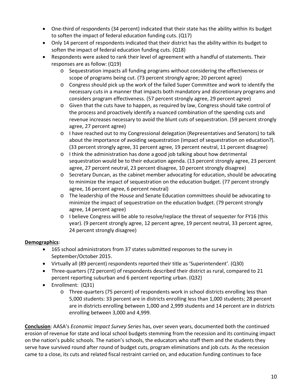- One-third of respondents (34 percent) indicated that their state has the ability within its budget to soften the impact of federal education funding cuts. (Q17)
- Only 14 percent of respondents indicated that their district has the ability within its budget to soften the impact of federal education funding cuts. (Q18)
- Respondents were asked to rank their level of agreement with a handful of statements. Their responses are as follow: (Q19)
	- o Sequestration impacts all funding programs without considering the effectiveness or scope of programs being cut. (73 percent strongly agree; 20 percent agree)
	- o Congress should pick up the work of the failed Super Committee and work to identify the necessary cuts in a manner that impacts both mandatory and discretionary programs and considers program effectiveness. (57 percent strongly agree, 29 percent agree)
	- o Given that the cuts have to happen, as required by law, Congress should take control of the process and proactively identify a nuanced combination of the spending cuts and revenue increases necessary to avoid the blunt cuts of sequestration. (59 percent strongly agree, 27 percent agree)
	- o I have reached out to my Congressional delegation (Representatives and Senators) to talk about the importance of avoiding sequestration (impact of sequestration on education?). (33 percent strongly agree, 31 percent agree, 19 percent neutral, 11 percent disagree)
	- o I think the administration has done a good job talking about how detrimental sequestration would be to their education agenda. (13 percent strongly agree, 23 percent agree, 27 percent neutral, 23 percent disagree, 10 percent strongly disagree)
	- o Secretary Duncan, as the cabinet member advocating for education, should be advocating to minimize the impact of sequestration on the education budget. (77 percent strongly agree, 16 percent agree, 6 percent neutral)
	- o The leadership of the House and Senate Education committees should be advocating to minimize the impact of sequestration on the education budget. (79 percent strongly agree, 14 percent agree)
	- o I believe Congress will be able to resolve/replace the threat of sequester for FY16 (this year). (9 percent strongly agree, 12 percent agree, 19 percent neutral, 33 percent agree, 24 percent strongly disagree)

### **Demographics**:

- 165 school administrators from 37 states submitted responses to the survey in September/October 2015.
- Virtually all (89 percent) respondents reported their title as 'Superintendent'. (Q30)
- Three-quarters (72 percent) of respondents described their district as rural, compared to 21 percent reporting suburban and 6 percent reporting urban. (Q32)
- Enrollment: (Q31)
	- o Three‐quarters (75 percent) of respondents work in school districts enrolling less than 5,000 students: 33 percent are in districts enrolling less than 1,000 students; 28 percent are in districts enrolling between 1,000 and 2,999 students and 14 percent are in districts enrolling between 3,000 and 4,999.

**Conclusion**: AASA's *Economic Impact Survey Series* has, over seven years, documented both the continued erosion of revenue for state and local school budgets stemming from the recession and its continuing impact on the nation's public schools. The nation's schools, the educators who staff them and the students they serve have survived round after round of budget cuts, program eliminations and job cuts. As the recession came to a close, its cuts and related fiscal restraint carried on, and education funding continues to face